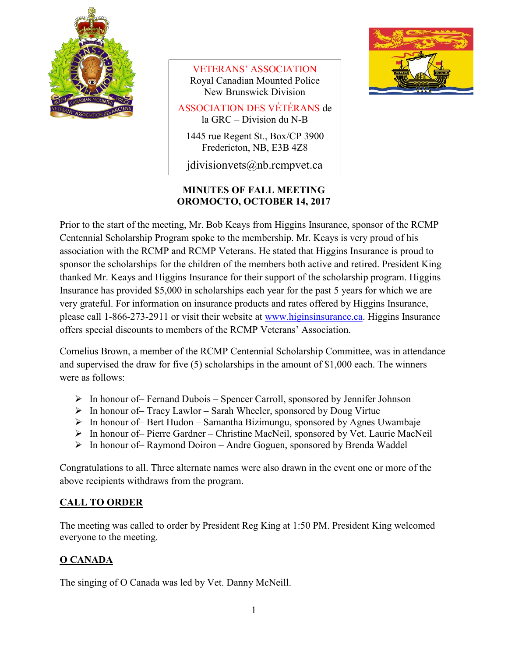

VETERANS' ASSOCIATION Royal Canadian Mounted Police New Brunswick Division

ASSOCIATION DES VÉTÉRANS de la GRC – Division du N-B

1445 rue Regent St., Box/CP 3900 Fredericton, NB, E3B 4Z8

jdivisionvets@nb.rcmpvet.ca

#### **MINUTES OF FALL MEETING OROMOCTO, OCTOBER 14, 2017**



Prior to the start of the meeting, Mr. Bob Keays from Higgins Insurance, sponsor of the RCMP Centennial Scholarship Program spoke to the membership. Mr. Keays is very proud of his association with the RCMP and RCMP Veterans. He stated that Higgins Insurance is proud to sponsor the scholarships for the children of the members both active and retired. President King thanked Mr. Keays and Higgins Insurance for their support of the scholarship program. Higgins Insurance has provided \$5,000 in scholarships each year for the past 5 years for which we are very grateful. For information on insurance products and rates offered by Higgins Insurance, please call 1-866-273-2911 or visit their website at [www.higinsinsurance.ca.](http://www.higinsinsurance.ca/) Higgins Insurance offers special discounts to members of the RCMP Veterans' Association.

Cornelius Brown, a member of the RCMP Centennial Scholarship Committee, was in attendance and supervised the draw for five (5) scholarships in the amount of \$1,000 each. The winners were as follows:

- $\triangleright$  In honour of– Fernand Dubois Spencer Carroll, sponsored by Jennifer Johnson
- $\triangleright$  In honour of– Tracy Lawlor Sarah Wheeler, sponsored by Doug Virtue
- $\triangleright$  In honour of Bert Hudon Samantha Bizimungu, sponsored by Agnes Uwambaje
- In honour of– Pierre Gardner Christine MacNeil, sponsored by Vet. Laurie MacNeil
- $\triangleright$  In honour of Raymond Doiron Andre Goguen, sponsored by Brenda Waddel

Congratulations to all. Three alternate names were also drawn in the event one or more of the above recipients withdraws from the program.

## **CALL TO ORDER**

The meeting was called to order by President Reg King at 1:50 PM. President King welcomed everyone to the meeting.

## **O CANADA**

The singing of O Canada was led by Vet. Danny McNeill.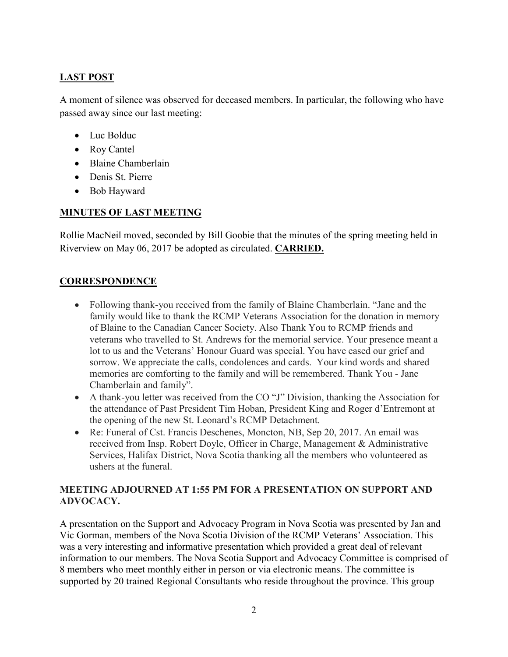### **LAST POST**

A moment of silence was observed for deceased members. In particular, the following who have passed away since our last meeting:

- Luc Bolduc
- Roy Cantel
- Blaine Chamberlain
- Denis St. Pierre
- Bob Hayward

#### **MINUTES OF LAST MEETING**

Rollie MacNeil moved, seconded by Bill Goobie that the minutes of the spring meeting held in Riverview on May 06, 2017 be adopted as circulated. **CARRIED.**

#### **CORRESPONDENCE**

- Following thank-you received from the family of Blaine Chamberlain. "Jane and the family would like to thank the RCMP Veterans Association for the donation in memory of Blaine to the Canadian Cancer Society. Also Thank You to RCMP friends and veterans who travelled to St. Andrews for the memorial service. Your presence meant a lot to us and the Veterans' Honour Guard was special. You have eased our grief and sorrow. We appreciate the calls, condolences and cards. Your kind words and shared memories are comforting to the family and will be remembered. Thank You - Jane Chamberlain and family".
- A thank-you letter was received from the CO "J" Division, thanking the Association for the attendance of Past President Tim Hoban, President King and Roger d'Entremont at the opening of the new St. Leonard's RCMP Detachment.
- Re: Funeral of Cst. Francis Deschenes, Moncton, NB, Sep 20, 2017. An email was received from Insp. Robert Doyle, Officer in Charge, Management & Administrative Services, Halifax District, Nova Scotia thanking all the members who volunteered as ushers at the funeral.

#### **MEETING ADJOURNED AT 1:55 PM FOR A PRESENTATION ON SUPPORT AND ADVOCACY.**

A presentation on the Support and Advocacy Program in Nova Scotia was presented by Jan and Vic Gorman, members of the Nova Scotia Division of the RCMP Veterans' Association. This was a very interesting and informative presentation which provided a great deal of relevant information to our members. The Nova Scotia Support and Advocacy Committee is comprised of 8 members who meet monthly either in person or via electronic means. The committee is supported by 20 trained Regional Consultants who reside throughout the province. This group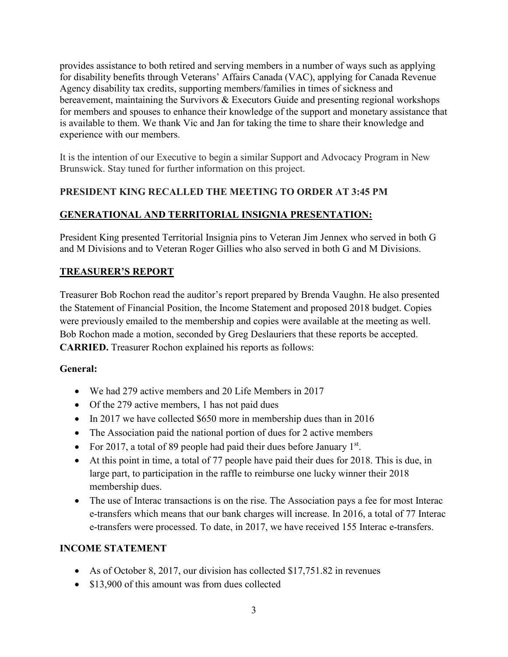provides assistance to both retired and serving members in a number of ways such as applying for disability benefits through Veterans' Affairs Canada (VAC), applying for Canada Revenue Agency disability tax credits, supporting members/families in times of sickness and bereavement, maintaining the Survivors & Executors Guide and presenting regional workshops for members and spouses to enhance their knowledge of the support and monetary assistance that is available to them. We thank Vic and Jan for taking the time to share their knowledge and experience with our members.

It is the intention of our Executive to begin a similar Support and Advocacy Program in New Brunswick. Stay tuned for further information on this project.

### **PRESIDENT KING RECALLED THE MEETING TO ORDER AT 3:45 PM**

### **GENERATIONAL AND TERRITORIAL INSIGNIA PRESENTATION:**

President King presented Territorial Insignia pins to Veteran Jim Jennex who served in both G and M Divisions and to Veteran Roger Gillies who also served in both G and M Divisions.

#### **TREASURER'S REPORT**

Treasurer Bob Rochon read the auditor's report prepared by Brenda Vaughn. He also presented the Statement of Financial Position, the Income Statement and proposed 2018 budget. Copies were previously emailed to the membership and copies were available at the meeting as well. Bob Rochon made a motion, seconded by Greg Deslauriers that these reports be accepted. **CARRIED.** Treasurer Rochon explained his reports as follows:

#### **General:**

- We had 279 active members and 20 Life Members in 2017
- Of the 279 active members, 1 has not paid dues
- In 2017 we have collected \$650 more in membership dues than in 2016
- The Association paid the national portion of dues for 2 active members
- For 2017, a total of 89 people had paid their dues before January  $1<sup>st</sup>$ .
- At this point in time, a total of 77 people have paid their dues for 2018. This is due, in large part, to participation in the raffle to reimburse one lucky winner their 2018 membership dues.
- The use of Interac transactions is on the rise. The Association pays a fee for most Interac e-transfers which means that our bank charges will increase. In 2016, a total of 77 Interac e-transfers were processed. To date, in 2017, we have received 155 Interac e-transfers.

#### **INCOME STATEMENT**

- As of October 8, 2017, our division has collected \$17,751.82 in revenues
- \$13,900 of this amount was from dues collected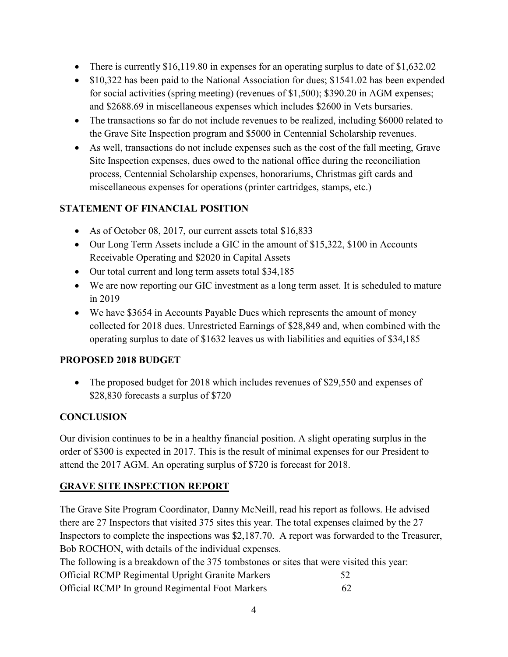- There is currently \$16,119.80 in expenses for an operating surplus to date of \$1,632.02
- \$10,322 has been paid to the National Association for dues; \$1541.02 has been expended for social activities (spring meeting) (revenues of \$1,500); \$390.20 in AGM expenses; and \$2688.69 in miscellaneous expenses which includes \$2600 in Vets bursaries.
- The transactions so far do not include revenues to be realized, including \$6000 related to the Grave Site Inspection program and \$5000 in Centennial Scholarship revenues.
- As well, transactions do not include expenses such as the cost of the fall meeting, Grave Site Inspection expenses, dues owed to the national office during the reconciliation process, Centennial Scholarship expenses, honorariums, Christmas gift cards and miscellaneous expenses for operations (printer cartridges, stamps, etc.)

#### **STATEMENT OF FINANCIAL POSITION**

- As of October 08, 2017, our current assets total \$16,833
- Our Long Term Assets include a GIC in the amount of \$15,322, \$100 in Accounts Receivable Operating and \$2020 in Capital Assets
- Our total current and long term assets total \$34,185
- We are now reporting our GIC investment as a long term asset. It is scheduled to mature in 2019
- We have \$3654 in Accounts Payable Dues which represents the amount of money collected for 2018 dues. Unrestricted Earnings of \$28,849 and, when combined with the operating surplus to date of \$1632 leaves us with liabilities and equities of \$34,185

#### **PROPOSED 2018 BUDGET**

• The proposed budget for 2018 which includes revenues of \$29,550 and expenses of \$28,830 forecasts a surplus of \$720

#### **CONCLUSION**

Our division continues to be in a healthy financial position. A slight operating surplus in the order of \$300 is expected in 2017. This is the result of minimal expenses for our President to attend the 2017 AGM. An operating surplus of \$720 is forecast for 2018.

#### **GRAVE SITE INSPECTION REPORT**

The Grave Site Program Coordinator, Danny McNeill, read his report as follows. He advised there are 27 Inspectors that visited 375 sites this year. The total expenses claimed by the 27 Inspectors to complete the inspections was \$2,187.70. A report was forwarded to the Treasurer, Bob ROCHON, with details of the individual expenses.

The following is a breakdown of the 375 tombstones or sites that were visited this year:

| <b>Official RCMP Regimental Upright Granite Markers</b> |    |
|---------------------------------------------------------|----|
| Official RCMP In ground Regimental Foot Markers         | 62 |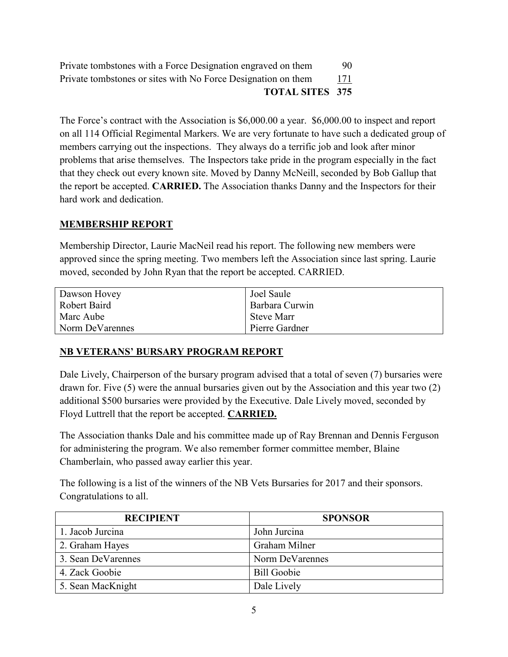| Private tombstones with a Force Designation engraved on them  | 90. |
|---------------------------------------------------------------|-----|
| Private tombstones or sites with No Force Designation on them | 171 |
| <b>TOTAL SITES 375</b>                                        |     |

The Force's contract with the Association is \$6,000.00 a year. \$6,000.00 to inspect and report on all 114 Official Regimental Markers. We are very fortunate to have such a dedicated group of members carrying out the inspections. They always do a terrific job and look after minor problems that arise themselves. The Inspectors take pride in the program especially in the fact that they check out every known site. Moved by Danny McNeill, seconded by Bob Gallup that the report be accepted. **CARRIED.** The Association thanks Danny and the Inspectors for their hard work and dedication.

#### **MEMBERSHIP REPORT**

Membership Director, Laurie MacNeil read his report. The following new members were approved since the spring meeting. Two members left the Association since last spring. Laurie moved, seconded by John Ryan that the report be accepted. CARRIED.

| Dawson Hovey    | Joel Saule        |
|-----------------|-------------------|
| Robert Baird    | Barbara Curwin    |
| Marc Aube       | <b>Steve Marr</b> |
| Norm DeVarennes | Pierre Gardner    |

#### **NB VETERANS' BURSARY PROGRAM REPORT**

Dale Lively, Chairperson of the bursary program advised that a total of seven (7) bursaries were drawn for. Five (5) were the annual bursaries given out by the Association and this year two (2) additional \$500 bursaries were provided by the Executive. Dale Lively moved, seconded by Floyd Luttrell that the report be accepted. **CARRIED.**

The Association thanks Dale and his committee made up of Ray Brennan and Dennis Ferguson for administering the program. We also remember former committee member, Blaine Chamberlain, who passed away earlier this year.

The following is a list of the winners of the NB Vets Bursaries for 2017 and their sponsors. Congratulations to all.

| <b>RECIPIENT</b>   | <b>SPONSOR</b>     |
|--------------------|--------------------|
| 1. Jacob Jurcina   | John Jurcina       |
| 2. Graham Hayes    | Graham Milner      |
| 3. Sean DeVarennes | Norm DeVarennes    |
| 4. Zack Goobie     | <b>Bill Goobie</b> |
| 5. Sean MacKnight  | Dale Lively        |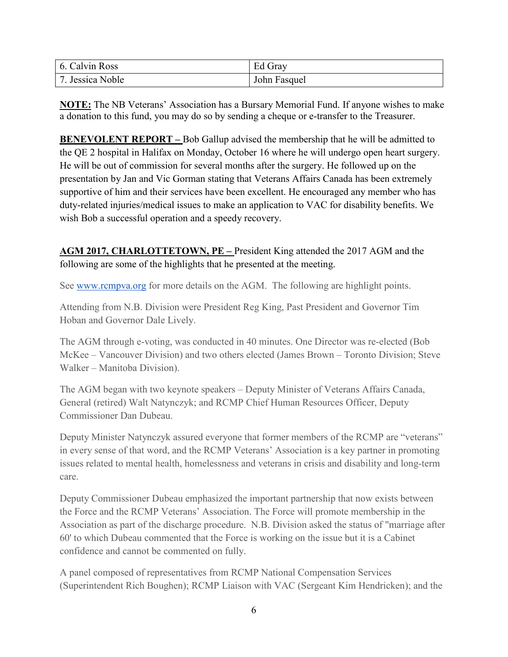| 6. Calvin Ross   | Ed Gray      |
|------------------|--------------|
| 7. Jessica Noble | John Fasquel |

**NOTE:** The NB Veterans' Association has a Bursary Memorial Fund. If anyone wishes to make a donation to this fund, you may do so by sending a cheque or e-transfer to the Treasurer.

**BENEVOLENT REPORT** – Bob Gallup advised the membership that he will be admitted to the QE 2 hospital in Halifax on Monday, October 16 where he will undergo open heart surgery. He will be out of commission for several months after the surgery. He followed up on the presentation by Jan and Vic Gorman stating that Veterans Affairs Canada has been extremely supportive of him and their services have been excellent. He encouraged any member who has duty-related injuries/medical issues to make an application to VAC for disability benefits. We wish Bob a successful operation and a speedy recovery.

### **AGM 2017, CHARLOTTETOWN, PE –** President King attended the 2017 AGM and the following are some of the highlights that he presented at the meeting.

See [www.rcmpva.org](http://www.rcmpva.org/) for more details on the AGM. The following are highlight points.

Attending from N.B. Division were President Reg King, Past President and Governor Tim Hoban and Governor Dale Lively.

The AGM through e-voting, was conducted in 40 minutes. One Director was re-elected (Bob McKee – Vancouver Division) and two others elected (James Brown – Toronto Division; Steve Walker – Manitoba Division).

The AGM began with two keynote speakers – Deputy Minister of Veterans Affairs Canada, General (retired) Walt Natynczyk; and RCMP Chief Human Resources Officer, Deputy Commissioner Dan Dubeau.

Deputy Minister Natynczyk assured everyone that former members of the RCMP are "veterans" in every sense of that word, and the RCMP Veterans' Association is a key partner in promoting issues related to mental health, homelessness and veterans in crisis and disability and long-term care.

Deputy Commissioner Dubeau emphasized the important partnership that now exists between the Force and the RCMP Veterans' Association. The Force will promote membership in the Association as part of the discharge procedure. N.B. Division asked the status of "marriage after 60' to which Dubeau commented that the Force is working on the issue but it is a Cabinet confidence and cannot be commented on fully.

A panel composed of representatives from RCMP National Compensation Services (Superintendent Rich Boughen); RCMP Liaison with VAC (Sergeant Kim Hendricken); and the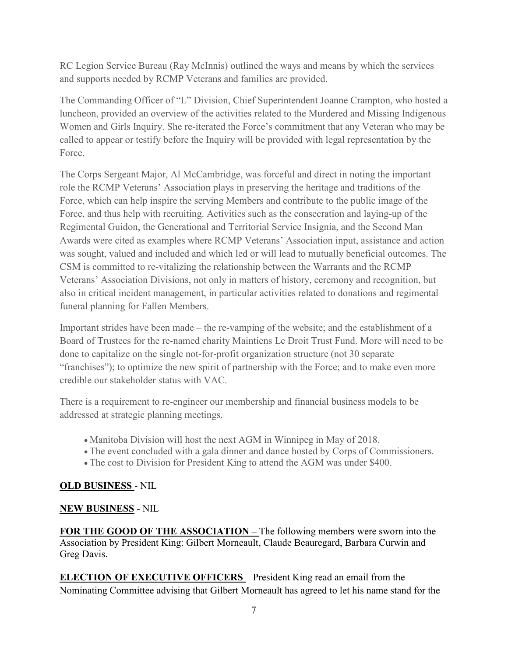RC Legion Service Bureau (Ray McInnis) outlined the ways and means by which the services and supports needed by RCMP Veterans and families are provided.

The Commanding Officer of "L" Division, Chief Superintendent Joanne Crampton, who hosted a luncheon, provided an overview of the activities related to the Murdered and Missing Indigenous Women and Girls Inquiry. She re-iterated the Force's commitment that any Veteran who may be called to appear or testify before the Inquiry will be provided with legal representation by the Force.

The Corps Sergeant Major, Al McCambridge, was forceful and direct in noting the important role the RCMP Veterans' Association plays in preserving the heritage and traditions of the Force, which can help inspire the serving Members and contribute to the public image of the Force, and thus help with recruiting. Activities such as the consecration and laying-up of the Regimental Guidon, the Generational and Territorial Service Insignia, and the Second Man Awards were cited as examples where RCMP Veterans' Association input, assistance and action was sought, valued and included and which led or will lead to mutually beneficial outcomes. The CSM is committed to re-vitalizing the relationship between the Warrants and the RCMP Veterans' Association Divisions, not only in matters of history, ceremony and recognition, but also in critical incident management, in particular activities related to donations and regimental funeral planning for Fallen Members.

Important strides have been made – the re-vamping of the website; and the establishment of a Board of Trustees for the re-named charity Maintiens Le Droit Trust Fund. More will need to be done to capitalize on the single not-for-profit organization structure (not 30 separate "franchises"); to optimize the new spirit of partnership with the Force; and to make even more credible our stakeholder status with VAC.

There is a requirement to re-engineer our membership and financial business models to be addressed at strategic planning meetings.

- Manitoba Division will host the next AGM in Winnipeg in May of 2018.
- The event concluded with a gala dinner and dance hosted by Corps of Commissioners.
- The cost to Division for President King to attend the AGM was under \$400.

## **OLD BUSINESS** - NIL

#### **NEW BUSINESS** - NIL

**FOR THE GOOD OF THE ASSOCIATION –** The following members were sworn into the Association by President King: Gilbert Morneault, Claude Beauregard, Barbara Curwin and Greg Davis.

**ELECTION OF EXECUTIVE OFFICERS** – President King read an email from the Nominating Committee advising that Gilbert Morneault has agreed to let his name stand for the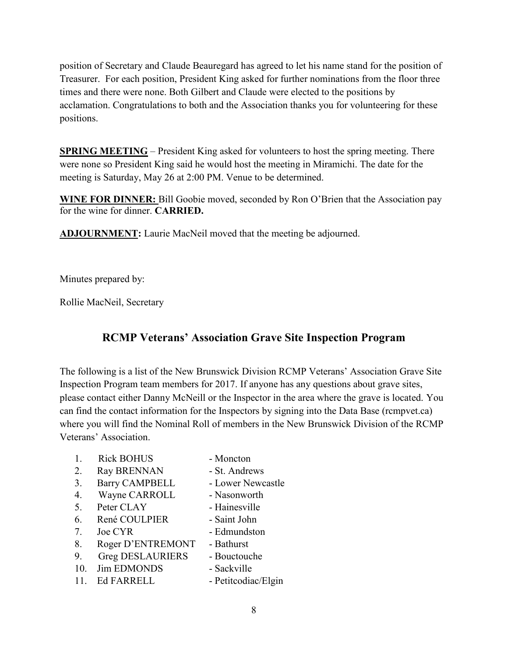position of Secretary and Claude Beauregard has agreed to let his name stand for the position of Treasurer. For each position, President King asked for further nominations from the floor three times and there were none. Both Gilbert and Claude were elected to the positions by acclamation. Congratulations to both and the Association thanks you for volunteering for these positions.

**SPRING MEETING** – President King asked for volunteers to host the spring meeting. There were none so President King said he would host the meeting in Miramichi. The date for the meeting is Saturday, May 26 at 2:00 PM. Venue to be determined.

**WINE FOR DINNER:** Bill Goobie moved, seconded by Ron O'Brien that the Association pay for the wine for dinner. **CARRIED.**

**ADJOURNMENT:** Laurie MacNeil moved that the meeting be adjourned.

Minutes prepared by:

Rollie MacNeil, Secretary

# **RCMP Veterans' Association Grave Site Inspection Program**

The following is a list of the New Brunswick Division RCMP Veterans' Association Grave Site Inspection Program team members for 2017. If anyone has any questions about grave sites, please contact either Danny McNeill or the Inspector in the area where the grave is located. You can find the contact information for the Inspectors by signing into the Data Base (rcmpvet.ca) where you will find the Nominal Roll of members in the New Brunswick Division of the RCMP Veterans' Association.

- 1. Rick BOHUS Moncton
- 
- 2. Ray BRENNAN St. Andrews
- 3. Barry CAMPBELL Lower Newcastle
- 4. Wayne CARROLL Nasonworth
- 5. Peter CLAY Hainesville
- 6. René COULPIER Saint John
- 7. Joe CYR Edmundston
- 8. Roger D'ENTREMONT Bathurst
- 9. Greg DESLAURIERS Bouctouche
- 10. Jim EDMONDS Sackville
- 11. Ed FARRELL Petitcodiac/Elgin
	- 8